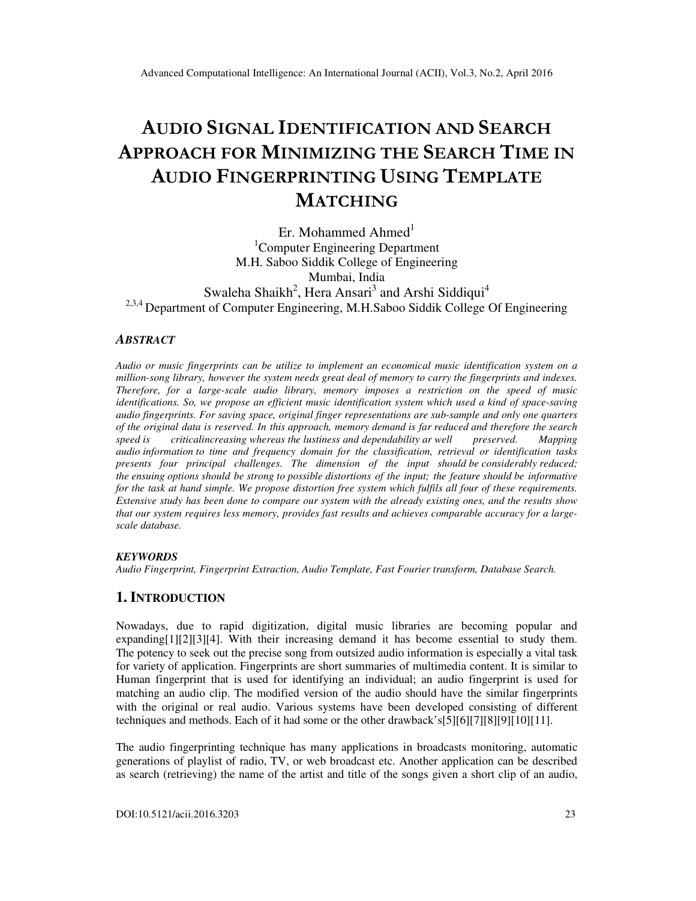# AUDIO SIGNAL IDENTIFICATION AND SEARCH APPROACH FOR MINIMIZING THE SEARCH TIME IN AUDIO FINGERPRINTING USING TEMPLATE **MATCHING**

Er. Mohammed Ahmed $<sup>1</sup>$ </sup> <sup>1</sup>Computer Engineering Department M.H. Saboo Siddik College of Engineering Mumbai, India Swaleha Shaikh<sup>2</sup>, Hera Ansari<sup>3</sup> and Arshi Siddiqui<sup>4</sup> <sup>2,3,4</sup> Department of Computer Engineering, M.H.Saboo Siddik College Of Engineering

#### *ABSTRACT*

*Audio or music fingerprints can be utilize to implement an economical music identification system on a million-song library, however the system needs great deal of memory to carry the fingerprints and indexes. Therefore, for a large-scale audio library, memory imposes a restriction on the speed of music identifications. So, we propose an efficient music identification system which used a kind of space-saving audio fingerprints. For saving space, original finger representations are sub-sample and only one quarters of the original data is reserved. In this approach, memory demand is far reduced and therefore the search speed is criticalincreasing whereas the lustiness and dependability ar well preserved. Mapping audio information to time and frequency domain for the classification, retrieval or identification tasks presents four principal challenges. The dimension of the input should be considerably reduced; the ensuing options should be strong to possible distortions of the input; the feature should be informative for the task at hand simple. We propose distortion free system which fulfils all four of these requirements. Extensive study has been done to compare our system with the already existing ones, and the results show that our system requires less memory, provides fast results and achieves comparable accuracy for a largescale database.* 

#### *KEYWORDS*

*Audio Fingerprint, Fingerprint Extraction, Audio Template, Fast Fourier transform, Database Search.* 

## **1. INTRODUCTION**

Nowadays, due to rapid digitization, digital music libraries are becoming popular and expanding[1][2][3][4]. With their increasing demand it has become essential to study them. The potency to seek out the precise song from outsized audio information is especially a vital task for variety of application. Fingerprints are short summaries of multimedia content. It is similar to Human fingerprint that is used for identifying an individual; an audio fingerprint is used for matching an audio clip. The modified version of the audio should have the similar fingerprints with the original or real audio. Various systems have been developed consisting of different techniques and methods. Each of it had some or the other drawback's[5][6][7][8][9][10][11].

The audio fingerprinting technique has many applications in broadcasts monitoring, automatic generations of playlist of radio, TV, or web broadcast etc. Another application can be described as search (retrieving) the name of the artist and title of the songs given a short clip of an audio,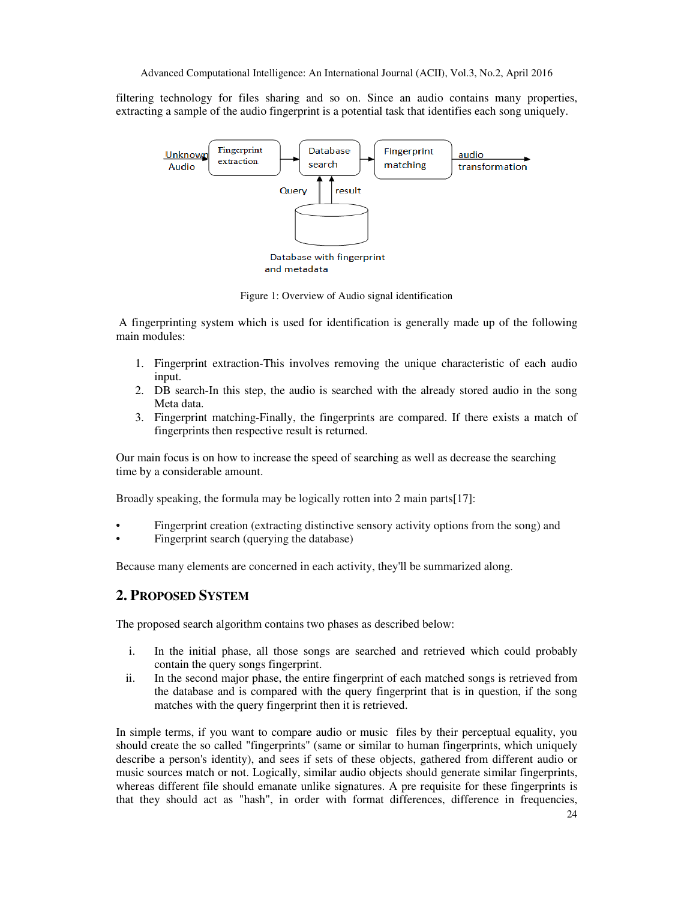filtering technology for files sharing and so on. Since an audio contains many properties, extracting a sample of the audio fingerprint is a potential task that identifies each song uniquely.



Figure 1: Overview of Audio signal identification

 A fingerprinting system which is used for identification is generally made up of the following main modules:

- 1. Fingerprint extraction-This involves removing the unique characteristic of each audio input.
- 2. DB search-In this step, the audio is searched with the already stored audio in the song Meta data.
- 3. Fingerprint matching-Finally, the fingerprints are compared. If there exists a match of fingerprints then respective result is returned.

Our main focus is on how to increase the speed of searching as well as decrease the searching time by a considerable amount.

Broadly speaking, the formula may be logically rotten into 2 main parts[17]:

- Fingerprint creation (extracting distinctive sensory activity options from the song) and
- Fingerprint search (querying the database)

Because many elements are concerned in each activity, they'll be summarized along.

## **2. PROPOSED SYSTEM**

The proposed search algorithm contains two phases as described below:

- i. In the initial phase, all those songs are searched and retrieved which could probably contain the query songs fingerprint.
- ii. In the second major phase, the entire fingerprint of each matched songs is retrieved from the database and is compared with the query fingerprint that is in question, if the song matches with the query fingerprint then it is retrieved.

In simple terms, if you want to compare audio or music files by their perceptual equality, you should create the so called "fingerprints" (same or similar to human fingerprints, which uniquely describe a person's identity), and sees if sets of these objects, gathered from different audio or music sources match or not. Logically, similar audio objects should generate similar fingerprints, whereas different file should emanate unlike signatures. A pre requisite for these fingerprints is that they should act as "hash", in order with format differences, difference in frequencies,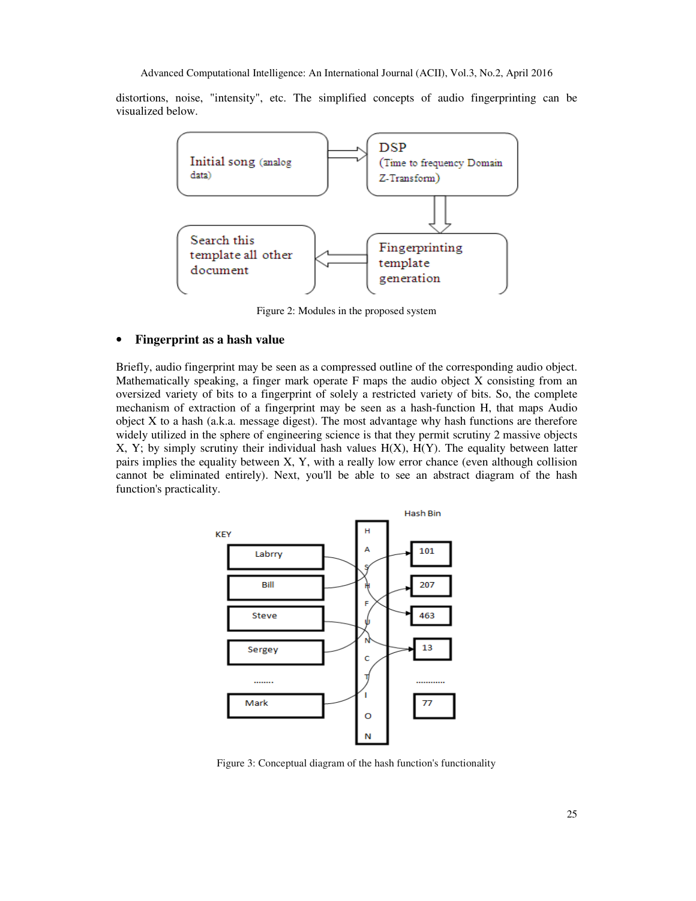distortions, noise, "intensity", etc. The simplified concepts of audio fingerprinting can be visualized below.



Figure 2: Modules in the proposed system

#### • **Fingerprint as a hash value**

Briefly, audio fingerprint may be seen as a compressed outline of the corresponding audio object. Mathematically speaking, a finger mark operate F maps the audio object X consisting from an oversized variety of bits to a fingerprint of solely a restricted variety of bits. So, the complete mechanism of extraction of a fingerprint may be seen as a hash-function H, that maps Audio object X to a hash (a.k.a. message digest). The most advantage why hash functions are therefore widely utilized in the sphere of engineering science is that they permit scrutiny 2 massive objects X, Y; by simply scrutiny their individual hash values  $H(X)$ ,  $H(Y)$ . The equality between latter pairs implies the equality between X, Y, with a really low error chance (even although collision cannot be eliminated entirely). Next, you'll be able to see an abstract diagram of the hash function's practicality.



Figure 3: Conceptual diagram of the hash function's functionality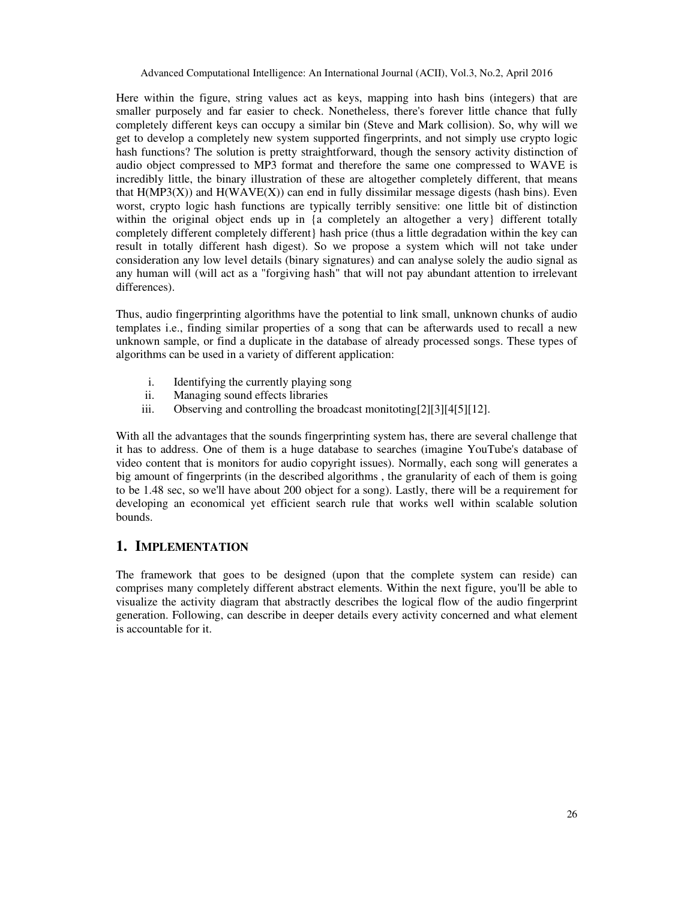Here within the figure, string values act as keys, mapping into hash bins (integers) that are smaller purposely and far easier to check. Nonetheless, there's forever little chance that fully completely different keys can occupy a similar bin (Steve and Mark collision). So, why will we get to develop a completely new system supported fingerprints, and not simply use crypto logic hash functions? The solution is pretty straightforward, though the sensory activity distinction of audio object compressed to MP3 format and therefore the same one compressed to WAVE is incredibly little, the binary illustration of these are altogether completely different, that means that  $H(MP3(X))$  and  $H(WAVE(X))$  can end in fully dissimilar message digests (hash bins). Even worst, crypto logic hash functions are typically terribly sensitive: one little bit of distinction within the original object ends up in {a completely an altogether a very} different totally completely different completely different} hash price (thus a little degradation within the key can result in totally different hash digest). So we propose a system which will not take under consideration any low level details (binary signatures) and can analyse solely the audio signal as any human will (will act as a "forgiving hash" that will not pay abundant attention to irrelevant differences).

Thus, audio fingerprinting algorithms have the potential to link small, unknown chunks of audio templates i.e., finding similar properties of a song that can be afterwards used to recall a new unknown sample, or find a duplicate in the database of already processed songs. These types of algorithms can be used in a variety of different application:

- i. Identifying the currently playing song
- ii. Managing sound effects libraries
- iii. Observing and controlling the broadcast monitoting[2][3][4[5][12].

With all the advantages that the sounds fingerprinting system has, there are several challenge that it has to address. One of them is a huge database to searches (imagine YouTube's database of video content that is monitors for audio copyright issues). Normally, each song will generates a big amount of fingerprints (in the described algorithms , the granularity of each of them is going to be 1.48 sec, so we'll have about 200 object for a song). Lastly, there will be a requirement for developing an economical yet efficient search rule that works well within scalable solution bounds.

## **1. IMPLEMENTATION**

The framework that goes to be designed (upon that the complete system can reside) can comprises many completely different abstract elements. Within the next figure, you'll be able to visualize the activity diagram that abstractly describes the logical flow of the audio fingerprint generation. Following, can describe in deeper details every activity concerned and what element is accountable for it.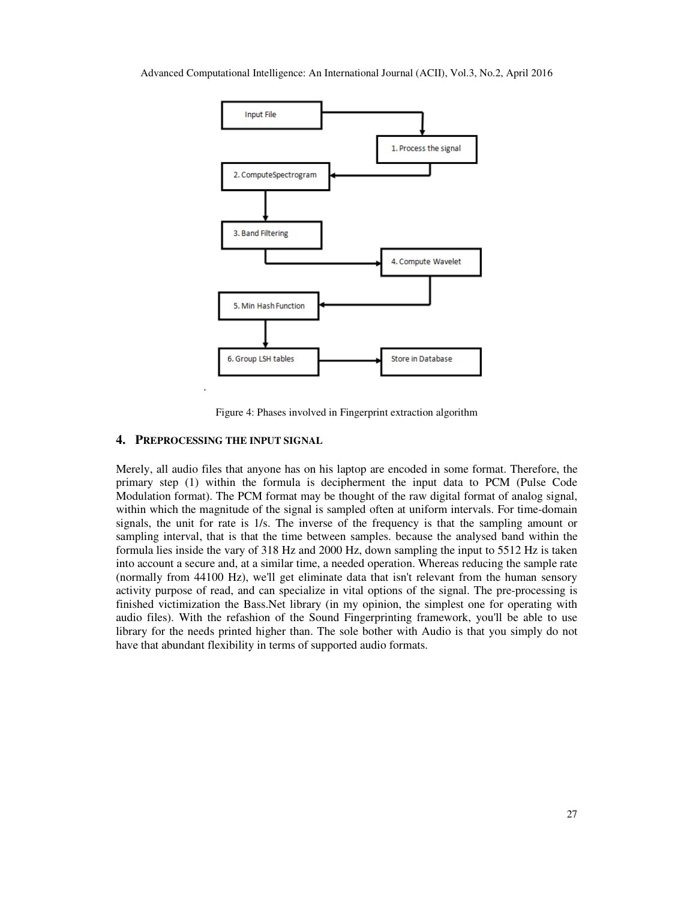

Figure 4: Phases involved in Fingerprint extraction algorithm

#### **4. PREPROCESSING THE INPUT SIGNAL**

Merely, all audio files that anyone has on his laptop are encoded in some format. Therefore, the primary step (1) within the formula is decipherment the input data to PCM (Pulse Code Modulation format). The PCM format may be thought of the raw digital format of analog signal, within which the magnitude of the signal is sampled often at uniform intervals. For time-domain signals, the unit for rate is 1/s. The inverse of the frequency is that the sampling amount or sampling interval, that is that the time between samples. because the analysed band within the formula lies inside the vary of 318 Hz and 2000 Hz, down sampling the input to 5512 Hz is taken into account a secure and, at a similar time, a needed operation. Whereas reducing the sample rate (normally from 44100 Hz), we'll get eliminate data that isn't relevant from the human sensory activity purpose of read, and can specialize in vital options of the signal. The pre-processing is finished victimization the Bass.Net library (in my opinion, the simplest one for operating with audio files). With the refashion of the Sound Fingerprinting framework, you'll be able to use library for the needs printed higher than. The sole bother with Audio is that you simply do not have that abundant flexibility in terms of supported audio formats.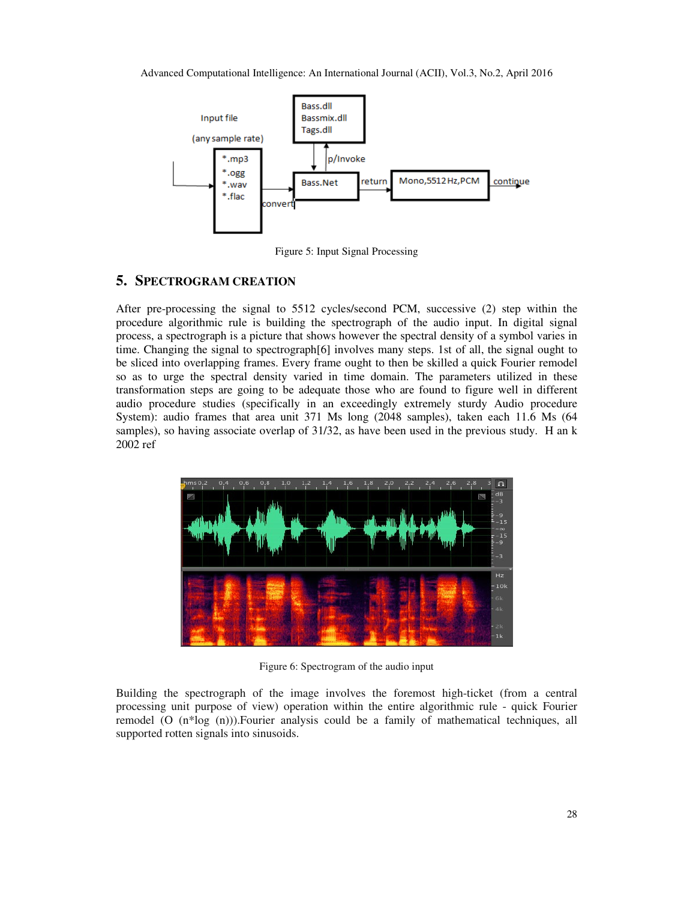

Figure 5: Input Signal Processing

## **5. SPECTROGRAM CREATION**

After pre-processing the signal to 5512 cycles/second PCM, successive (2) step within the procedure algorithmic rule is building the spectrograph of the audio input. In digital signal process, a spectrograph is a picture that shows however the spectral density of a symbol varies in time. Changing the signal to spectrograph[6] involves many steps. 1st of all, the signal ought to be sliced into overlapping frames. Every frame ought to then be skilled a quick Fourier remodel so as to urge the spectral density varied in time domain. The parameters utilized in these transformation steps are going to be adequate those who are found to figure well in different audio procedure studies (specifically in an exceedingly extremely sturdy Audio procedure System): audio frames that area unit 371 Ms long (2048 samples), taken each 11.6 Ms (64 samples), so having associate overlap of 31/32, as have been used in the previous study. H an k 2002 ref



Figure 6: Spectrogram of the audio input

Building the spectrograph of the image involves the foremost high-ticket (from a central processing unit purpose of view) operation within the entire algorithmic rule - quick Fourier remodel (O (n<sup>\*</sup>log (n))).Fourier analysis could be a family of mathematical techniques, all supported rotten signals into sinusoids.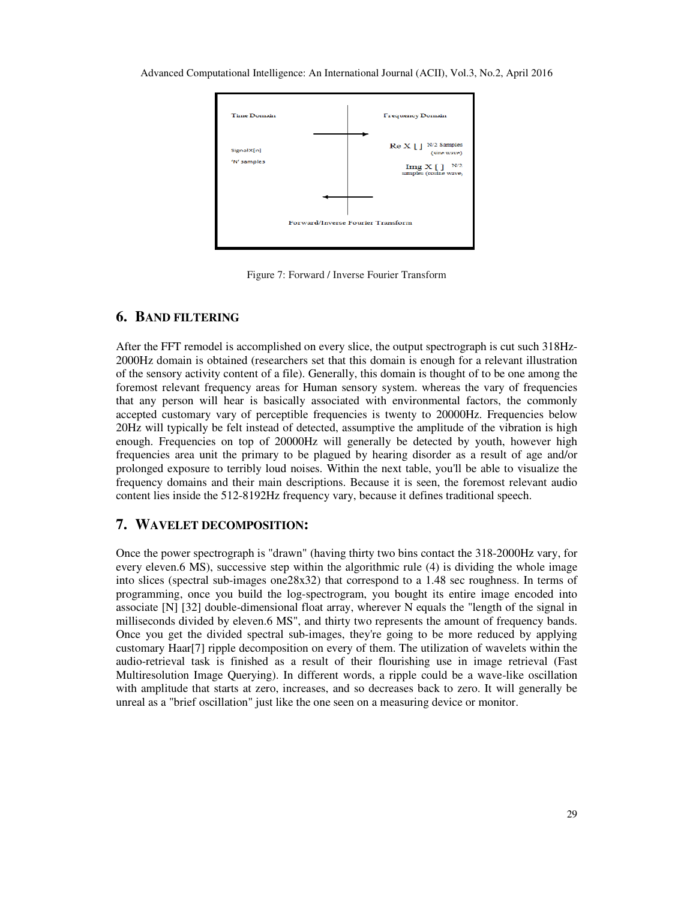

Figure 7: Forward / Inverse Fourier Transform

### **6. BAND FILTERING**

After the FFT remodel is accomplished on every slice, the output spectrograph is cut such 318Hz-2000Hz domain is obtained (researchers set that this domain is enough for a relevant illustration of the sensory activity content of a file). Generally, this domain is thought of to be one among the foremost relevant frequency areas for Human sensory system. whereas the vary of frequencies that any person will hear is basically associated with environmental factors, the commonly accepted customary vary of perceptible frequencies is twenty to 20000Hz. Frequencies below 20Hz will typically be felt instead of detected, assumptive the amplitude of the vibration is high enough. Frequencies on top of 20000Hz will generally be detected by youth, however high frequencies area unit the primary to be plagued by hearing disorder as a result of age and/or prolonged exposure to terribly loud noises. Within the next table, you'll be able to visualize the frequency domains and their main descriptions. Because it is seen, the foremost relevant audio content lies inside the 512-8192Hz frequency vary, because it defines traditional speech.

#### **7. WAVELET DECOMPOSITION:**

Once the power spectrograph is "drawn" (having thirty two bins contact the 318-2000Hz vary, for every eleven.6 MS), successive step within the algorithmic rule (4) is dividing the whole image into slices (spectral sub-images one28x32) that correspond to a 1.48 sec roughness. In terms of programming, once you build the log-spectrogram, you bought its entire image encoded into associate [N] [32] double-dimensional float array, wherever N equals the "length of the signal in milliseconds divided by eleven.6 MS", and thirty two represents the amount of frequency bands. Once you get the divided spectral sub-images, they're going to be more reduced by applying customary Haar[7] ripple decomposition on every of them. The utilization of wavelets within the audio-retrieval task is finished as a result of their flourishing use in image retrieval (Fast Multiresolution Image Querying). In different words, a ripple could be a wave-like oscillation with amplitude that starts at zero, increases, and so decreases back to zero. It will generally be unreal as a "brief oscillation" just like the one seen on a measuring device or monitor.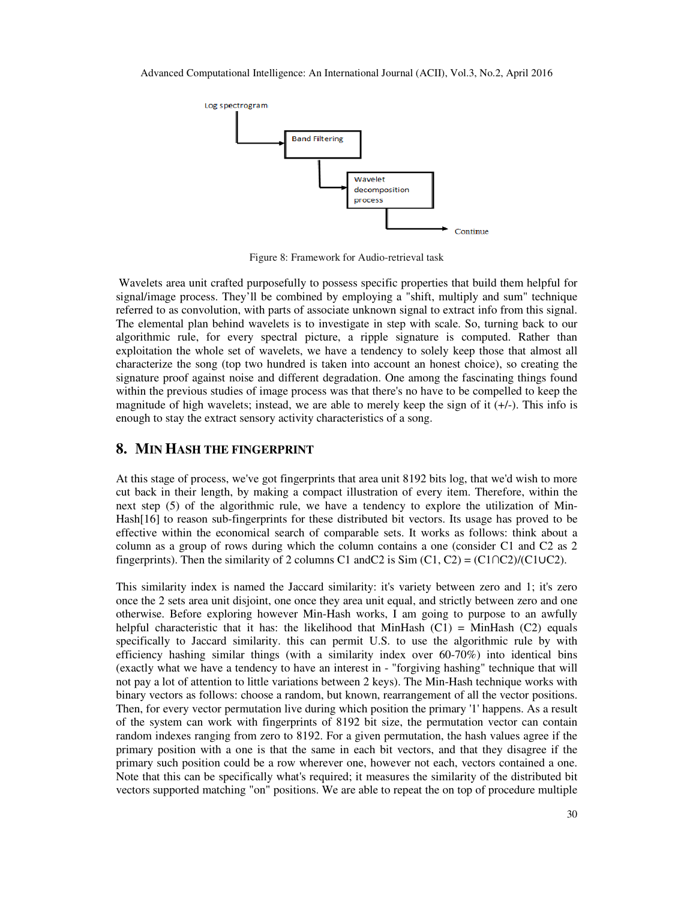

Figure 8: Framework for Audio-retrieval task

 Wavelets area unit crafted purposefully to possess specific properties that build them helpful for signal/image process. They'll be combined by employing a "shift, multiply and sum" technique referred to as convolution, with parts of associate unknown signal to extract info from this signal. The elemental plan behind wavelets is to investigate in step with scale. So, turning back to our algorithmic rule, for every spectral picture, a ripple signature is computed. Rather than exploitation the whole set of wavelets, we have a tendency to solely keep those that almost all characterize the song (top two hundred is taken into account an honest choice), so creating the signature proof against noise and different degradation. One among the fascinating things found within the previous studies of image process was that there's no have to be compelled to keep the magnitude of high wavelets; instead, we are able to merely keep the sign of it  $(+/-)$ . This info is enough to stay the extract sensory activity characteristics of a song.

### **8. MIN HASH THE FINGERPRINT**

At this stage of process, we've got fingerprints that area unit 8192 bits log, that we'd wish to more cut back in their length, by making a compact illustration of every item. Therefore, within the next step (5) of the algorithmic rule, we have a tendency to explore the utilization of Min-Hash[16] to reason sub-fingerprints for these distributed bit vectors. Its usage has proved to be effective within the economical search of comparable sets. It works as follows: think about a column as a group of rows during which the column contains a one (consider C1 and C2 as 2 fingerprints). Then the similarity of 2 columns C1 andC2 is Sim (C1, C2) = (C1∩C2)/(C1∪C2).

This similarity index is named the Jaccard similarity: it's variety between zero and 1; it's zero once the 2 sets area unit disjoint, one once they area unit equal, and strictly between zero and one otherwise. Before exploring however Min-Hash works, I am going to purpose to an awfully helpful characteristic that it has: the likelihood that MinHash  $(C1)$  = MinHash  $(C2)$  equals specifically to Jaccard similarity. this can permit U.S. to use the algorithmic rule by with efficiency hashing similar things (with a similarity index over 60-70%) into identical bins (exactly what we have a tendency to have an interest in - "forgiving hashing" technique that will not pay a lot of attention to little variations between 2 keys). The Min-Hash technique works with binary vectors as follows: choose a random, but known, rearrangement of all the vector positions. Then, for every vector permutation live during which position the primary '1' happens. As a result of the system can work with fingerprints of 8192 bit size, the permutation vector can contain random indexes ranging from zero to 8192. For a given permutation, the hash values agree if the primary position with a one is that the same in each bit vectors, and that they disagree if the primary such position could be a row wherever one, however not each, vectors contained a one. Note that this can be specifically what's required; it measures the similarity of the distributed bit vectors supported matching "on" positions. We are able to repeat the on top of procedure multiple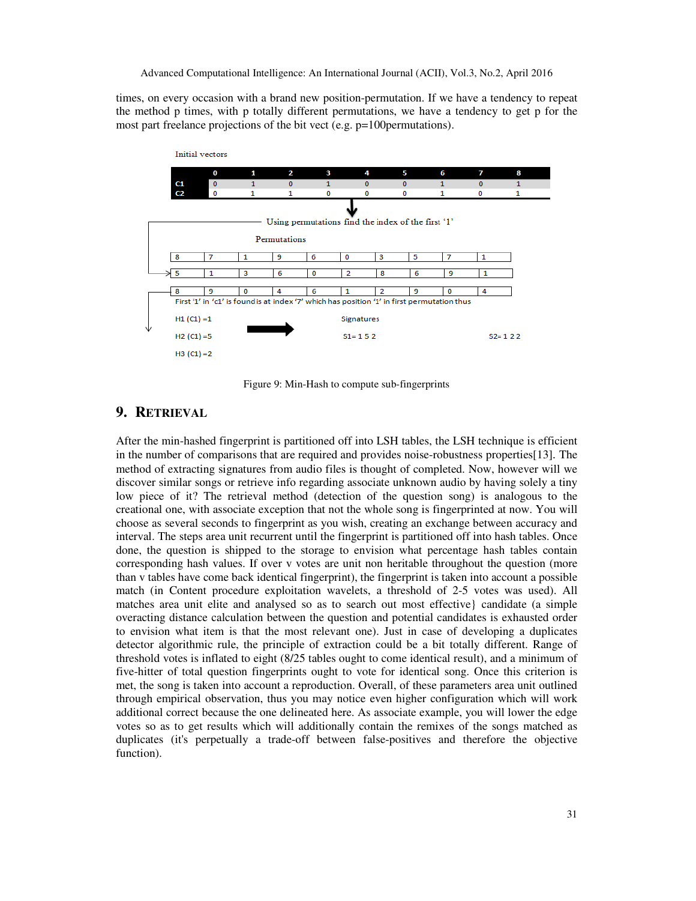times, on every occasion with a brand new position-permutation. If we have a tendency to repeat the method p times, with p totally different permutations, we have a tendency to get p for the most part freelance projections of the bit vect (e.g. p=100 permutations).



Figure 9: Min-Hash to compute sub-fingerprints

## **9. RETRIEVAL**

After the min-hashed fingerprint is partitioned off into LSH tables, the LSH technique is efficient in the number of comparisons that are required and provides noise-robustness properties[13]. The method of extracting signatures from audio files is thought of completed. Now, however will we discover similar songs or retrieve info regarding associate unknown audio by having solely a tiny low piece of it? The retrieval method (detection of the question song) is analogous to the creational one, with associate exception that not the whole song is fingerprinted at now. You will choose as several seconds to fingerprint as you wish, creating an exchange between accuracy and interval. The steps area unit recurrent until the fingerprint is partitioned off into hash tables. Once done, the question is shipped to the storage to envision what percentage hash tables contain corresponding hash values. If over v votes are unit non heritable throughout the question (more than v tables have come back identical fingerprint), the fingerprint is taken into account a possible match (in Content procedure exploitation wavelets, a threshold of 2-5 votes was used). All matches area unit elite and analysed so as to search out most effective} candidate (a simple overacting distance calculation between the question and potential candidates is exhausted order to envision what item is that the most relevant one). Just in case of developing a duplicates detector algorithmic rule, the principle of extraction could be a bit totally different. Range of threshold votes is inflated to eight (8/25 tables ought to come identical result), and a minimum of five-hitter of total question fingerprints ought to vote for identical song. Once this criterion is met, the song is taken into account a reproduction. Overall, of these parameters area unit outlined through empirical observation, thus you may notice even higher configuration which will work additional correct because the one delineated here. As associate example, you will lower the edge votes so as to get results which will additionally contain the remixes of the songs matched as duplicates (it's perpetually a trade-off between false-positives and therefore the objective function).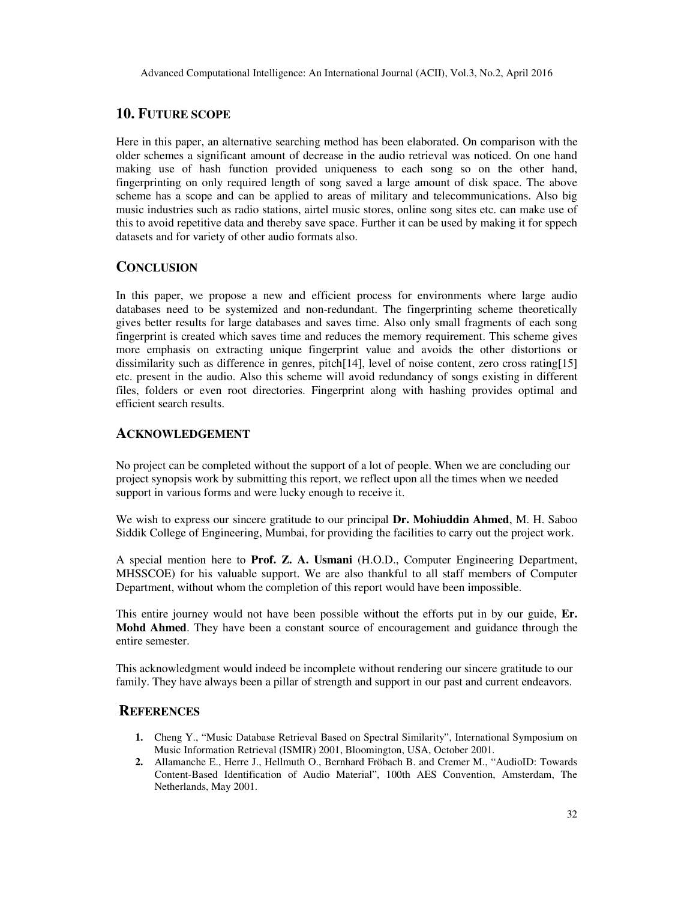### **10. FUTURE SCOPE**

Here in this paper, an alternative searching method has been elaborated. On comparison with the older schemes a significant amount of decrease in the audio retrieval was noticed. On one hand making use of hash function provided uniqueness to each song so on the other hand, fingerprinting on only required length of song saved a large amount of disk space. The above scheme has a scope and can be applied to areas of military and telecommunications. Also big music industries such as radio stations, airtel music stores, online song sites etc. can make use of this to avoid repetitive data and thereby save space. Further it can be used by making it for sppech datasets and for variety of other audio formats also.

## **CONCLUSION**

In this paper, we propose a new and efficient process for environments where large audio databases need to be systemized and non-redundant. The fingerprinting scheme theoretically gives better results for large databases and saves time. Also only small fragments of each song fingerprint is created which saves time and reduces the memory requirement. This scheme gives more emphasis on extracting unique fingerprint value and avoids the other distortions or dissimilarity such as difference in genres, pitch[14], level of noise content, zero cross rating[15] etc. present in the audio. Also this scheme will avoid redundancy of songs existing in different files, folders or even root directories. Fingerprint along with hashing provides optimal and efficient search results.

#### **ACKNOWLEDGEMENT**

No project can be completed without the support of a lot of people. When we are concluding our project synopsis work by submitting this report, we reflect upon all the times when we needed support in various forms and were lucky enough to receive it.

We wish to express our sincere gratitude to our principal **Dr. Mohiuddin Ahmed**, M. H. Saboo Siddik College of Engineering, Mumbai, for providing the facilities to carry out the project work.

A special mention here to **Prof. Z. A. Usmani** (H.O.D., Computer Engineering Department, MHSSCOE) for his valuable support. We are also thankful to all staff members of Computer Department, without whom the completion of this report would have been impossible.

This entire journey would not have been possible without the efforts put in by our guide, **Er. Mohd Ahmed**. They have been a constant source of encouragement and guidance through the entire semester.

This acknowledgment would indeed be incomplete without rendering our sincere gratitude to our family. They have always been a pillar of strength and support in our past and current endeavors.

#### **REFERENCES**

- **1.** Cheng Y., "Music Database Retrieval Based on Spectral Similarity", International Symposium on Music Information Retrieval (ISMIR) 2001, Bloomington, USA, October 2001.
- **2.** Allamanche E., Herre J., Hellmuth O., Bernhard Fröbach B. and Cremer M., "AudioID: Towards Content-Based Identification of Audio Material", 100th AES Convention, Amsterdam, The Netherlands, May 2001.